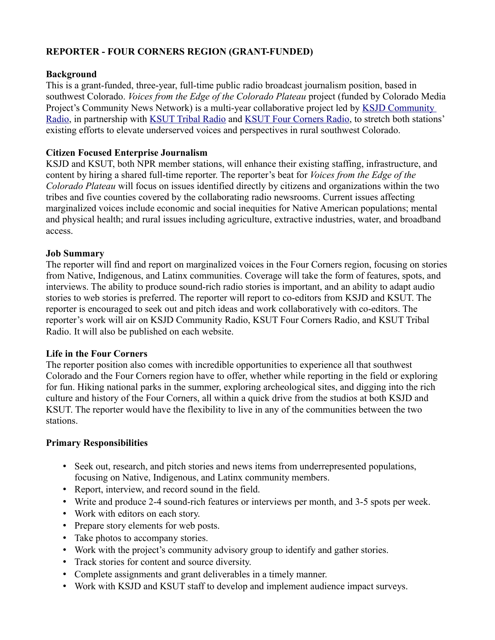# **REPORTER - FOUR CORNERS REGION (GRANT-FUNDED)**

## **Background**

This is a grant-funded, three-year, full-time public radio broadcast journalism position, based in southwest Colorado. *Voices from the Edge of the Colorado Plateau* project (funded by Colorado Media Project's Community News Network) is a multi-year collaborative project led by [KSJD Community](https://www.ksjd.org/)  [Radio,](https://www.ksjd.org/) in partnership with [KSUT Tribal Radio](https://tribalradio.org/) and [KSUT Four Corners Radio,](https://www.ksut.org/) to stretch both stations' existing efforts to elevate underserved voices and perspectives in rural southwest Colorado.

### **Citizen Focused Enterprise Journalism**

KSJD and KSUT, both NPR member stations, will enhance their existing staffing, infrastructure, and content by hiring a shared full-time reporter. The reporter's beat for *Voices from the Edge of the Colorado Plateau* will focus on issues identified directly by citizens and organizations within the two tribes and five counties covered by the collaborating radio newsrooms. Current issues affecting marginalized voices include economic and social inequities for Native American populations; mental and physical health; and rural issues including agriculture, extractive industries, water, and broadband access.

#### **Job Summary**

The reporter will find and report on marginalized voices in the Four Corners region, focusing on stories from Native, Indigenous, and Latinx communities. Coverage will take the form of features, spots, and interviews. The ability to produce sound-rich radio stories is important, and an ability to adapt audio stories to web stories is preferred. The reporter will report to co-editors from KSJD and KSUT. The reporter is encouraged to seek out and pitch ideas and work collaboratively with co-editors. The reporter's work will air on KSJD Community Radio, KSUT Four Corners Radio, and KSUT Tribal Radio. It will also be published on each website.

#### **Life in the Four Corners**

The reporter position also comes with incredible opportunities to experience all that southwest Colorado and the Four Corners region have to offer, whether while reporting in the field or exploring for fun. Hiking national parks in the summer, exploring archeological sites, and digging into the rich culture and history of the Four Corners, all within a quick drive from the studios at both KSJD and KSUT. The reporter would have the flexibility to live in any of the communities between the two stations.

## **Primary Responsibilities**

- Seek out, research, and pitch stories and news items from underrepresented populations, focusing on Native, Indigenous, and Latinx community members.
- Report, interview, and record sound in the field.
- Write and produce 2-4 sound-rich features or interviews per month, and 3-5 spots per week.
- Work with editors on each story.
- Prepare story elements for web posts.
- Take photos to accompany stories.
- Work with the project's community advisory group to identify and gather stories.
- Track stories for content and source diversity.
- Complete assignments and grant deliverables in a timely manner.
- Work with KSJD and KSUT staff to develop and implement audience impact surveys.